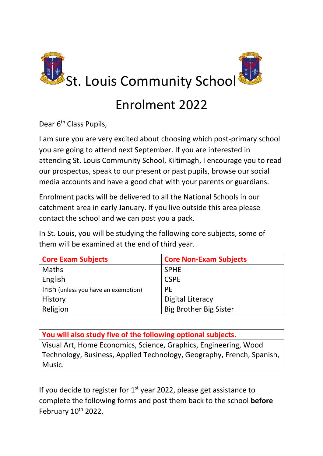

## Enrolment 2022

Dear 6<sup>th</sup> Class Pupils,

I am sure you are very excited about choosing which post-primary school you are going to attend next September. If you are interested in attending St. Louis Community School, Kiltimagh, I encourage you to read our prospectus, speak to our present or past pupils, browse our social media accounts and have a good chat with your parents or guardians.

Enrolment packs will be delivered to all the National Schools in our catchment area in early January. If you live outside this area please contact the school and we can post you a pack.

In St. Louis, you will be studying the following core subjects, some of them will be examined at the end of third year.

| <b>Core Exam Subjects</b>            | <b>Core Non-Exam Subjects</b> |
|--------------------------------------|-------------------------------|
| <b>Maths</b>                         | <b>SPHE</b>                   |
| English                              | <b>CSPE</b>                   |
| Irish (unless you have an exemption) | <b>PE</b>                     |
| History                              | <b>Digital Literacy</b>       |
| Religion                             | <b>Big Brother Big Sister</b> |

**You will also study five of the following optional subjects.** Visual Art, Home Economics, Science, Graphics, Engineering, Wood Technology, Business, Applied Technology, Geography, French, Spanish, Music.

If you decide to register for  $1<sup>st</sup>$  year 2022, please get assistance to complete the following forms and post them back to the school **before** February  $10^{th}$  2022.